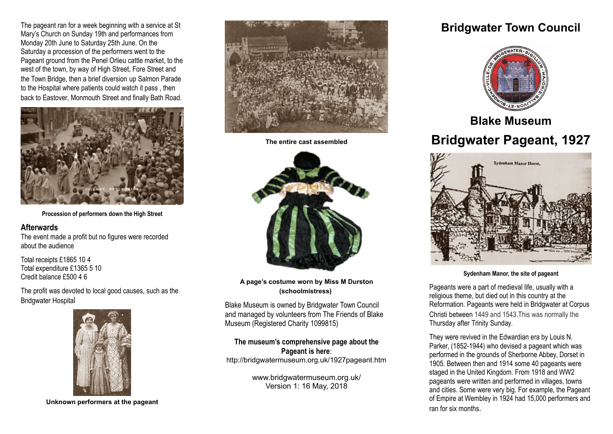The pageant ran for a week beginning with a service at St Mary's Church on Sunday 19th and performances from Monday 20th June to Saturday 25th June. On the Saturday a procession of the performers went to the Pageant ground from the Penel Orlieu cattle market, to the west of the town, by way of High Street, Fore Street and the Town Bridge, then a brief diversion up Salmon Parade to the Hospital where patients could watch it pass , then back to Eastover, Monmouth Street and finally Bath Road.



**Procession of performers down the High Street**

#### **Afterwards**

The event made a profit but no figures were recorded about the audience

Total receipts £1865 10 4 Total expenditure £1365 5 10 Credit balance £500 4 6

The profit was devoted to local good causes, such as the Bridgwater Hospital



**Unknown performers at the pageant**



**The entire cast assembled**



**A page's costume worn by Miss M Durston (schoolmistress)**

Blake Museum is owned by Bridgwater Town Council and managed by volunteers from The Friends of Blake Museum (Registered Charity 1099815)

**The museum's comprehensive page about the Pageant is here**: http://bridgwatermuseum.org.uk/1927pageant.htm

> www.bridgwatermuseum.org.uk/ Version 1: 16 May, 2018

# **Bridgwater Town Council**



**Blake Museum Bridgwater Pageant, 1927**



**Sydenham Manor, the site of pageant**

Pageants were a part of medieval life, usually with a religious theme, but died out in this country at the Reformation. Pageants were held in Bridgwater at Corpus Christi between 1449 and 1543.This was normally the Thursday after Trinity Sunday.

They were revived in the Edwardian era by Louis N. Parker, (1852-1944) who devised a pageant which was performed in the grounds of Sherborne Abbey, Dorset in 1905. Between then and 1914 some 40 pageants were staged in the United Kingdom. From 1918 and WW2 pageants were written and performed in villages, towns and cities. Some were very big. For example, the Pageant of Empire at Wembley in 1924 had 15,000 performers and ran for six months.